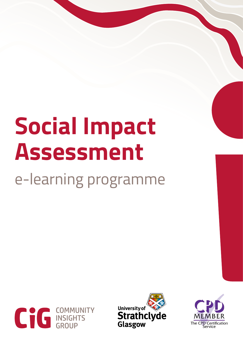# **Social Impact Assessment**

e-learning programme





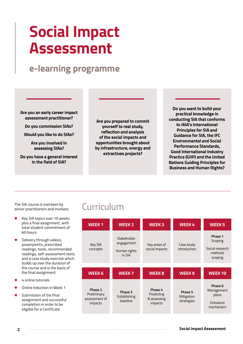# **Social Impact Assessment**

### **e-learning programme**

**Are you an early career impact assessment practitioner?**

**Do you commission SIAs?**

**Would you like to do SIAs?**

**Are you involved in assessing SIAs?**

**Do you have a general interest in the field of SIA?**

**Are you prepared to commit yourself to real study, reflection and analysis of the social impacts and opportunities brought about by infrastructure, energy and extractives projects?**

**Do you want to build your practical knowledge in conducting SIA that conforms to IAIA's International Principles for SIA and Guidance for SIA, the IFC Environmental and Social Performance Standards, Good International Industry Practice (GIIP) and the United Nations Guiding Principles for Business and Human Rights?**

The SIA course is overseen by senior practitioners and involves:

- l Key SIA topics over 10 weeks plus a final assignment, with total student commitment of 60 hours
- Delivery through videos, powerpoints, prescribed readings, tools, recommended readings, self-assessment tests and a case study exercise which builds up over the duration of the course and is the basis of the final assignment
- l 4 online tutorials
- **Online Induction in Week 1**
- Submission of the final assignment and successful completion in order to be eligible for a Certificate

### Curriculum

| <b>WEEK1</b>           | <b>WEEK 2</b>                                       | <b>WEEK3</b>                   | <b>WEEK4</b>               | <b>WEEK 5</b>                                               |
|------------------------|-----------------------------------------------------|--------------------------------|----------------------------|-------------------------------------------------------------|
| Key SIA<br>concepts    | Stakeholder<br>engagement<br>Human rights<br>in SIA | Key areas of<br>social impacts | Case study<br>introduction | Phase 1<br>Scoping<br>Social research<br>methods<br>scoping |
| <b>WEEK 6</b>          | <b>WEEK7</b>                                        | <b>WEEK8</b>                   | <b>WEEK9</b>               | <b>WEEK10</b>                                               |
| Phase 2<br>Preliminary | Phase 3                                             | Phase 4                        | Phase 5                    | Phase 6<br>Management                                       |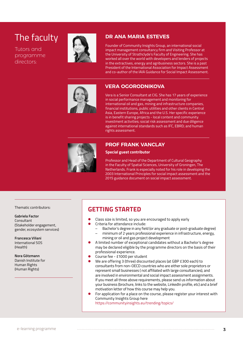### The faculty

Tutors and programme directors:



#### **DR ANA MARIA ESTEVES**

Founder of Community Insights Group, an international social impact management consultancy firm and Visiting Professor at the University of Strathclyde's Faculty of Engineering. She has worked all over the world with developers and lenders of projects in the extractives, energy and agribusiness sectors. She is a past President of the International Association for Impact Assessment and co-author of the IAIA Guidance for Social Impact Assessment.

#### **VERA OGORODNIKOVA**

Vera is a Senior Consultant at CIG. She has 17 years of experience in social performance management and monitoring for international oil and gas, mining and infrastructure companies, financial institutions, public utilities and other clients in Central Asia, Eastern Europe, Africa and the U.S. Her specific experience is in benefit sharing projects - local content and community investment activities; social risk assessment and due diligence against international standards such as IFC, EBRD; and human rights assessment.



#### **PROF FRANK VANCLAY**

#### **Special guest contributor**

Professor and Head of the Department of Cultural Geography in the Faculty of Spatial Sciences, University of Groningen, The Netherlands. Frank is especially noted for his role in developing the 2003 International Principles for social impact assessment and the 2015 guidance document on social impact assessment.

Thematic contributors:

#### **Gabriela Factor**

Consultant (Stakeholder engagement, gender, ecosystem services)

**Francesca Viliani** International SOS (Health)

**Nora Götzmann** Danish Institute for Human Rights (Human Rights)

#### **GETTING STARTED**

- l Class size is limited, so you are encouraged to apply early
- Criteria for attendance include:
	- Bachelor's degree in any field (or any graduate or post-graduate degree) – minimum of 2 years professional experience in infrastructure, energy,
	- mining or oil and gas project development l A limited number of exceptional candidates without a Bachelor's degree
- may be declared eligible by the programme directors on the basis of their professional experience.
- Course fee £1000 per student
- We are offering 3 (three) discounted places (at GBP £300 each) to consultants from non-OECD countries who are either sole proprietors or represent small businesses ( not affiliated with large consultancies), and are involved in environmental and social impact assessment assignments. If you meet all three above requirements, please send us information about your business (brochure, links to the website, LinkedIn profile, etc) and a brief motivation letter of how this course may help you.
- For application for a place on the course, please register your interest with Community Insights Group here <https://communityinsights.eu/trending/topics/>

e-learning programme **3**